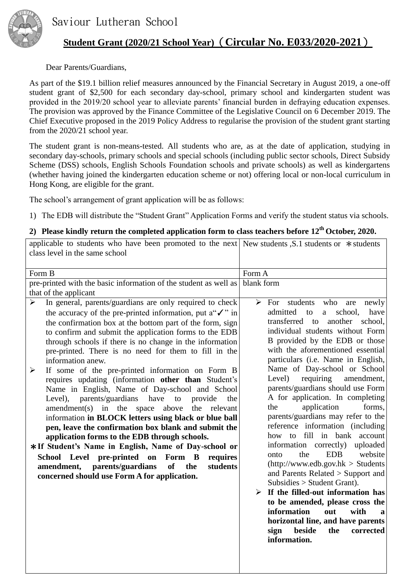

## **Student Grant (2020/21 School Year)**(**Circular No. E033/2020-2021**)

## Dear Parents/Guardians,

As part of the \$19.1 billion relief measures announced by the Financial Secretary in August 2019, a one-off student grant of \$2,500 for each secondary day-school, primary school and kindergarten student was provided in the 2019/20 school year to alleviate parents' financial burden in defraying education expenses. The provision was approved by the Finance Committee of the Legislative Council on 6 December 2019. The Chief Executive proposed in the 2019 Policy Address to regularise the provision of the student grant starting from the 2020/21 school year.

The student grant is non-means-tested. All students who are, as at the date of application, studying in secondary day-schools, primary schools and special schools (including public sector schools, Direct Subsidy Scheme (DSS) schools, English Schools Foundation schools and private schools) as well as kindergartens (whether having joined the kindergarten education scheme or not) offering local or non-local curriculum in Hong Kong, are eligible for the grant.

The school's arrangement of grant application will be as follows:

1) The EDB will distribute the "Student Grant" Application Forms and verify the student status via schools.

## **2) Please kindly return the completed application form to class teachers before 12th October, 2020.**

| applicable to students who have been promoted to the next New students , S.1 students or $*$ students<br>class level in the same school                                                                                                                                                                                                                                                                                                                                                                                                                                            |                                                                                                                                                                                                                                                                                                                                                                                                                                                                                                                                                                                                       |  |
|------------------------------------------------------------------------------------------------------------------------------------------------------------------------------------------------------------------------------------------------------------------------------------------------------------------------------------------------------------------------------------------------------------------------------------------------------------------------------------------------------------------------------------------------------------------------------------|-------------------------------------------------------------------------------------------------------------------------------------------------------------------------------------------------------------------------------------------------------------------------------------------------------------------------------------------------------------------------------------------------------------------------------------------------------------------------------------------------------------------------------------------------------------------------------------------------------|--|
| Form B                                                                                                                                                                                                                                                                                                                                                                                                                                                                                                                                                                             | Form A                                                                                                                                                                                                                                                                                                                                                                                                                                                                                                                                                                                                |  |
| pre-printed with the basic information of the student as well as                                                                                                                                                                                                                                                                                                                                                                                                                                                                                                                   | blank form                                                                                                                                                                                                                                                                                                                                                                                                                                                                                                                                                                                            |  |
| that of the applicant                                                                                                                                                                                                                                                                                                                                                                                                                                                                                                                                                              |                                                                                                                                                                                                                                                                                                                                                                                                                                                                                                                                                                                                       |  |
| In general, parents/guardians are only required to check<br>➤<br>the accuracy of the pre-printed information, put $a'''$ in<br>the confirmation box at the bottom part of the form, sign<br>to confirm and submit the application forms to the EDB<br>through schools if there is no change in the information<br>pre-printed. There is no need for them to fill in the<br>information anew.<br>If some of the pre-printed information on Form B<br>$\blacktriangleright$<br>requires updating (information other than Student's<br>Name in English, Name of Day-school and School | $\triangleright$ For students<br>who<br>are<br>newly<br>admitted<br>school,<br>have<br>to<br>a<br>another<br>school,<br>transferred to<br>individual students without Form<br>B provided by the EDB or those<br>with the aforementioned essential<br>particulars (i.e. Name in English,<br>Name of Day-school or School<br>requiring<br>amendment,<br>Level)<br>parents/guardians should use Form                                                                                                                                                                                                     |  |
| parents/guardians have<br>Level),<br>provide<br>the<br>to<br>amendment(s) in the space above<br>the relevant<br>information in BLOCK letters using black or blue ball<br>pen, leave the confirmation box blank and submit the<br>application forms to the EDB through schools.<br>*If Student's Name in English, Name of Day-school or<br>Form B<br>School Level pre-printed on<br>requires<br>parents/guardians<br>students<br>amendment,<br><b>of</b><br>the<br>concerned should use Form A for application.                                                                     | A for application. In completing<br>application<br>forms,<br>the<br>parents/guardians may refer to the<br>reference information (including<br>how to fill in bank account<br>information correctly)<br>uploaded<br><b>EDB</b><br>website<br>the<br>onto<br>(http://www.edu.gov.hk > Students<br>and Parents Related $>$ Support and<br>$Subsides > Student Grant$ .<br>$\triangleright$ If the filled-out information has<br>to be amended, please cross the<br>information<br>out<br>with<br>$\mathbf{a}$<br>horizontal line, and have parents<br>beside<br>sign<br>the<br>corrected<br>information. |  |